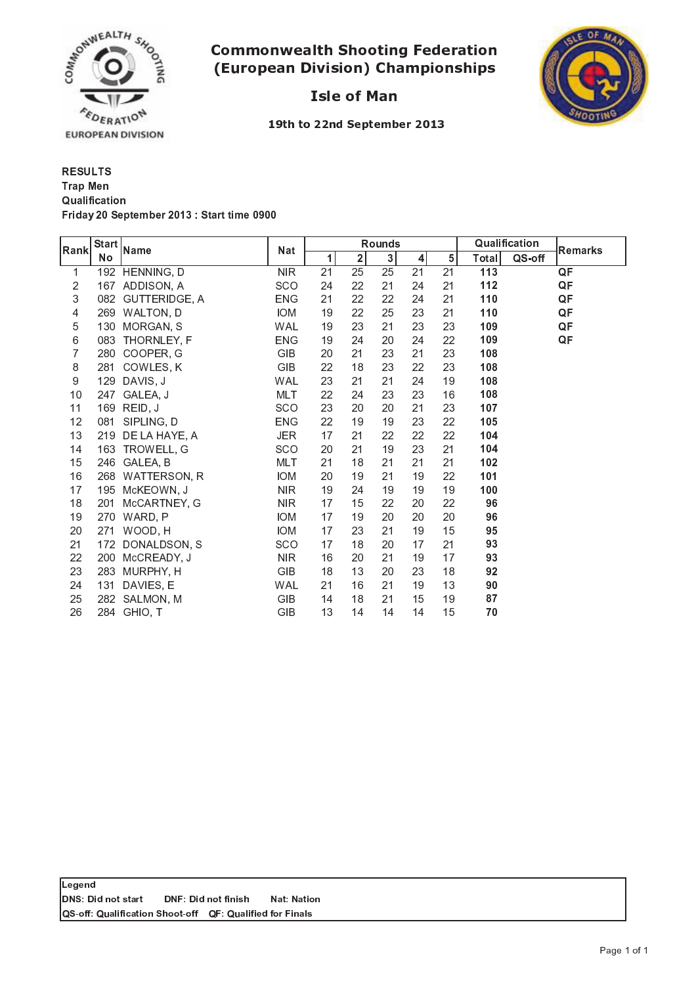

# - -  -



**Isle of Man** 

19th to 22nd September 2013

RESULTS **Qualification** ; <sup>&</sup>lt; <sup>5</sup> <sup>=</sup> <sup>3</sup> <sup>&</sup>gt; ? @ - <sup>A</sup> <sup>B</sup> <sup>8</sup> <sup>A</sup> <sup>C</sup> <sup>D</sup> <sup>A</sup> <sup>&</sup>lt; ? @ <sup>E</sup> <sup>F</sup> <sup>G</sup> - <sup>8</sup> <sup>3</sup> <sup>&</sup>lt; <sup>8</sup> <sup>8</sup> <sup>5</sup> <sup>C</sup> <sup>A</sup> @ <sup>H</sup> @ @ Trap Men

| Rank | <b>Start</b><br><b>No</b> | Name           | <b>Nat</b> | <b>Rounds</b> |              |    |         |    | Qualification |        | Remarks |
|------|---------------------------|----------------|------------|---------------|--------------|----|---------|----|---------------|--------|---------|
|      |                           |                |            | 1             | $\mathbf{2}$ | 3  | $\vert$ | 5  | Total         | QS-off |         |
| 1    |                           | 192 HENNING, D | <b>NIR</b> | 21            | 25           | 25 | 21      | 21 | 113           |        | QF      |
| 2    |                           | 167 ADDISON, A | SCO        | 24            | 22           | 21 | 24      | 21 | 112           |        | QF      |
| 3    | 082                       | GUTTERIDGE, A  | <b>ENG</b> | 21            | 22           | 22 | 24      | 21 | 110           |        | QF      |
| 4    | 269                       | WALTON, D      | <b>IOM</b> | 19            | 22           | 25 | 23      | 21 | 110           |        | QF      |
| 5    | 130                       | MORGAN, S      | <b>WAL</b> | 19            | 23           | 21 | 23      | 23 | 109           |        | QF      |
| 6    | 083                       | THORNLEY, F    | <b>ENG</b> | 19            | 24           | 20 | 24      | 22 | 109           |        | QF      |
| 7    | 280                       | COOPER G       | GIB        | 20            | 21           | 23 | 21      | 23 | 108           |        |         |
| 8    | 281                       | COWLES, K      | <b>GIB</b> | 22            | 18           | 23 | 22      | 23 | 108           |        |         |
| 9    | 129                       | DAVIS, J       | <b>WAL</b> | 23            | 21           | 21 | 24      | 19 | 108           |        |         |
| 10   | 247                       | GALEA, J       | MLT        | 22            | 24           | 23 | 23      | 16 | 108           |        |         |
| 11   |                           | 169 REID, J    | SCO        | 23            | 20           | 20 | 21      | 23 | 107           |        |         |
| 12   | 081                       | SIPLING, D     | <b>ENG</b> | 22            | 19           | 19 | 23      | 22 | 105           |        |         |
| 13   | 219                       | DE LA HAYE, A  | <b>JER</b> | 17            | 21           | 22 | 22      | 22 | 104           |        |         |
| 14   |                           | 163 TROWELL, G | SCO        | 20            | 21           | 19 | 23      | 21 | 104           |        |         |
| 15   | 246                       | GALEA, B       | MLT        | 21            | 18           | 21 | 21      | 21 | 102           |        |         |
| 16   | 268                       | WATTERSON, R   | <b>IOM</b> | 20            | 19           | 21 | 19      | 22 | 101           |        |         |
| 17   | 195                       | McKEOWN, J     | NIR.       | 19            | 24           | 19 | 19      | 19 | 100           |        |         |
| 18   | 201                       | McCARTNEY, G   | <b>NIR</b> | 17            | 15           | 22 | 20      | 22 | 96            |        |         |
| 19   | 270                       | WARD, P        | <b>IOM</b> | 17            | 19           | 20 | 20      | 20 | 96            |        |         |
| 20   | 271                       | WOOD, H        | <b>IOM</b> | 17            | 23           | 21 | 19      | 15 | 95            |        |         |
| 21   | 172                       | DONALDSON, S   | SCO        | 17            | 18           | 20 | 17      | 21 | 93            |        |         |
| 22   | 200                       | McCREADY, J    | <b>NIR</b> | 16            | 20           | 21 | 19      | 17 | 93            |        |         |
| 23   | 283                       | MURPHY, H      | <b>GIB</b> | 18            | 13           | 20 | 23      | 18 | 92            |        |         |
| 24   | 131                       | DAVIES, E      | <b>WAL</b> | 21            | 16           | 21 | 19      | 13 | 90            |        |         |
| 25   | 282                       | SALMON, M      | <b>GIB</b> | 14            | 18           | 21 | 15      | 19 | 87            |        |         |
| 26   |                           | 284 GHIO, T    | GIB        | 13            | 14           | 14 | 14      | 15 | 70            |        |         |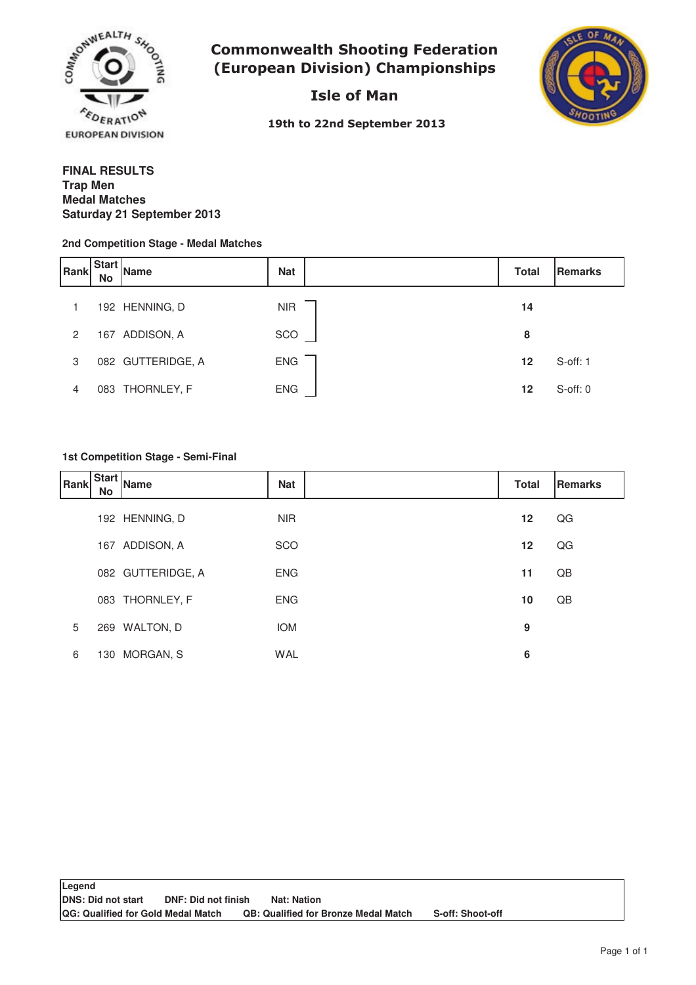

**Commonwealth Shooting Federation** (European Division) Championships

Isle of Man



19th to 22nd September 2013

## **FINAL RESULTS Medal Matches Saturday 21 September 2013 Trap Men**

#### **2nd Competition Stage - Medal Matches**

| Rank           | <b>Start</b><br><b>No</b> | <b>Name</b>       | <b>Nat</b> | <b>Total</b> | Remarks       |
|----------------|---------------------------|-------------------|------------|--------------|---------------|
|                |                           | 192 HENNING, D    | <b>NIR</b> | 14           |               |
| $\overline{2}$ |                           | 167 ADDISON, A    | SCO        | 8            |               |
| 3              |                           | 082 GUTTERIDGE, A | <b>ENG</b> | $12 \,$      | $S$ -off: 1   |
| 4              |                           | 083 THORNLEY, F   | <b>ENG</b> | $12 \,$      | $S$ -off: $0$ |

## **1st Competition Stage - Semi-Final**

| Rank | No  | .   Start   Name  | <b>Nat</b> | <b>Total</b> | <b>Remarks</b> |
|------|-----|-------------------|------------|--------------|----------------|
|      |     | 192 HENNING, D    | <b>NIR</b> | 12           | QG             |
|      |     | 167 ADDISON, A    | SCO        | 12           | QG             |
|      |     | 082 GUTTERIDGE, A | <b>ENG</b> | 11           | QB             |
|      |     | 083 THORNLEY, F   | <b>ENG</b> | 10           | QB             |
| 5    |     | 269 WALTON, D     | <b>IOM</b> | 9            |                |
| 6    | 130 | MORGAN, S         | <b>WAL</b> | 6            |                |